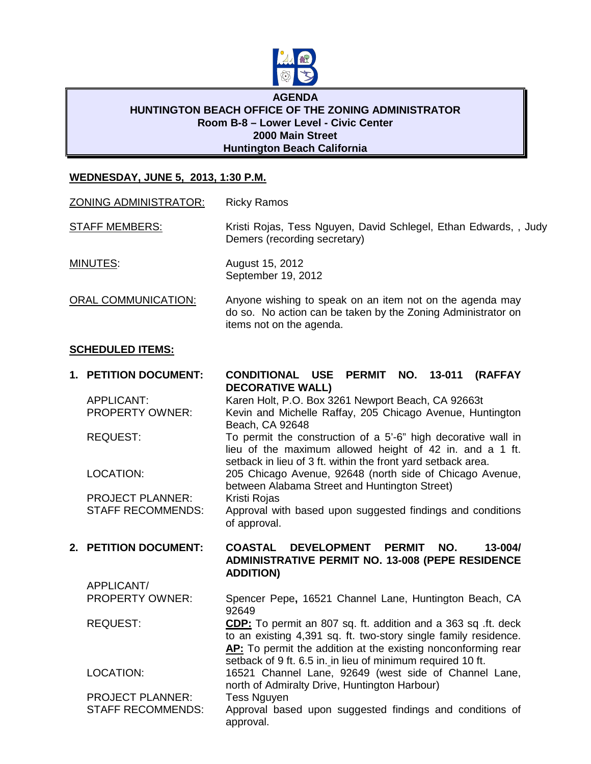

#### **AGENDA HUNTINGTON BEACH OFFICE OF THE ZONING ADMINISTRATOR Room B-8 – Lower Level - Civic Center 2000 Main Street Huntington Beach California**

### **WEDNESDAY, JUNE 5, 2013, 1:30 P.M.**

| <b>ZONING ADMINISTRATOR:</b>                                  | <b>Ricky Ramos</b>                                                                                                                                                                                |
|---------------------------------------------------------------|---------------------------------------------------------------------------------------------------------------------------------------------------------------------------------------------------|
| <b>STAFF MEMBERS:</b>                                         | Kristi Rojas, Tess Nguyen, David Schlegel, Ethan Edwards, , Judy<br>Demers (recording secretary)                                                                                                  |
| MINUTES:                                                      | August 15, 2012<br>September 19, 2012                                                                                                                                                             |
| <b>ORAL COMMUNICATION:</b>                                    | Anyone wishing to speak on an item not on the agenda may<br>do so. No action can be taken by the Zoning Administrator on<br>items not on the agenda.                                              |
| <b>SCHEDULED ITEMS:</b>                                       |                                                                                                                                                                                                   |
| 1. PETITION DOCUMENT:<br>APPLICANT:<br><b>PROPERTY OWNER:</b> | CONDITIONAL USE PERMIT NO. 13-011<br><b>(RAFFAY</b><br><b>DECORATIVE WALL)</b><br>Karen Holt, P.O. Box 3261 Newport Beach, CA 92663t<br>Kevin and Michelle Raffay, 205 Chicago Avenue, Huntington |

REQUEST: To permit the construction of a 5'-6" high decorative wall in

LOCATION: 205 Chicago Avenue, 92648 (north side of Chicago Avenue,

between Alabama Street and Huntington Street) PROJECT PLANNER: Kristi Rojas STAFF RECOMMENDS: Approval with based upon suggested findings and conditions of approval.

Beach, CA 92648

APPLICANT/

## **2. PETITION DOCUMENT: COASTAL DEVELOPMENT PERMIT NO. 13-004/ ADMINISTRATIVE PERMIT NO. 13-008 (PEPE RESIDENCE ADDITION)**

lieu of the maximum allowed height of 42 in. and a 1 ft.

setback in lieu of 3 ft. within the front yard setback area.

PROPERTY OWNER: Spencer Pepe**,** 16521 Channel Lane, Huntington Beach, CA 92649

REQUEST: **CDP:** To permit an 807 sq. ft. addition and a 363 sq .ft. deck to an existing 4,391 sq. ft. two-story single family residence. **AP:** To permit the addition at the existing nonconforming rear setback of 9 ft. 6.5 in. in lieu of minimum required 10 ft.

LOCATION: 16521 Channel Lane, 92649 (west side of Channel Lane, north of Admiralty Drive, Huntington Harbour)

PROJECT PLANNER: Tess Nguyen STAFF RECOMMENDS: Approval based upon suggested findings and conditions of approval.